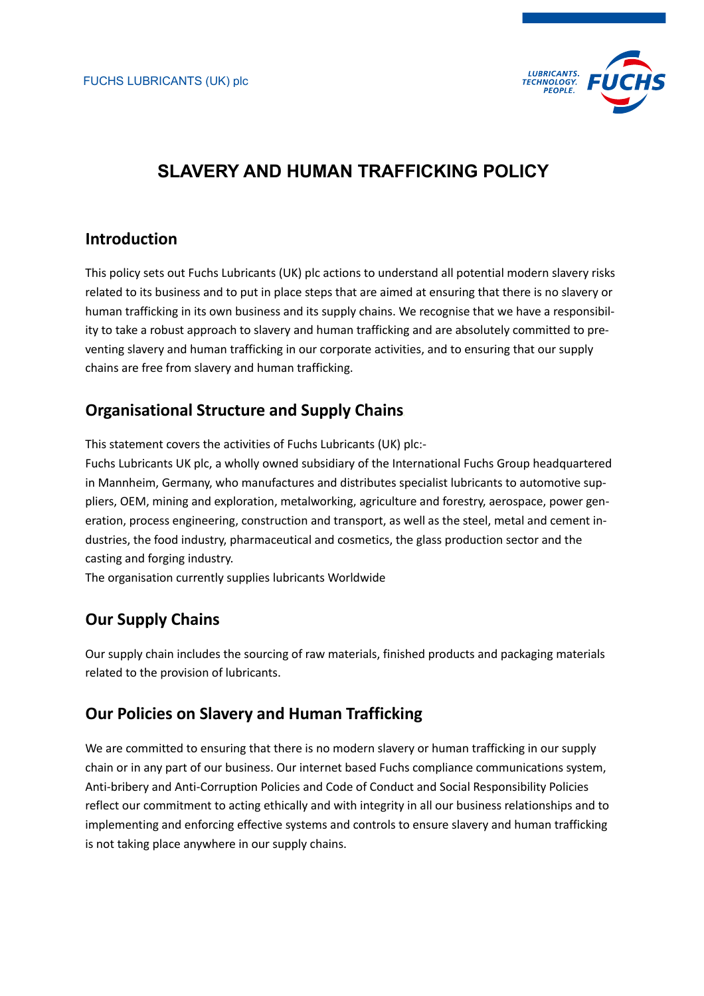

# **SLAVERY AND HUMAN TRAFFICKING POLICY**

## **Introduction**

This policy sets out Fuchs Lubricants (UK) plc actions to understand all potential modern slavery risks related to its business and to put in place steps that are aimed at ensuring that there is no slavery or human trafficking in its own business and its supply chains. We recognise that we have a responsibility to take a robust approach to slavery and human trafficking and are absolutely committed to preventing slavery and human trafficking in our corporate activities, and to ensuring that our supply chains are free from slavery and human trafficking.

# **Organisational Structure and Supply Chains**

This statement covers the activities of Fuchs Lubricants (UK) plc:-

Fuchs Lubricants UK plc, a wholly owned subsidiary of the International Fuchs Group headquartered in Mannheim, Germany, who manufactures and distributes specialist lubricants to automotive suppliers, OEM, mining and exploration, metalworking, agriculture and forestry, aerospace, power generation, process engineering, construction and transport, as well as the steel, metal and cement industries, the food industry, pharmaceutical and cosmetics, the glass production sector and the casting and forging industry.

The organisation currently supplies lubricants Worldwide

# **Our Supply Chains**

Our supply chain includes the sourcing of raw materials, finished products and packaging materials related to the provision of lubricants.

### **Our Policies on Slavery and Human Trafficking**

We are committed to ensuring that there is no modern slavery or human trafficking in our supply chain or in any part of our business. Our internet based Fuchs compliance communications system, Anti-bribery and Anti-Corruption Policies and Code of Conduct and Social Responsibility Policies reflect our commitment to acting ethically and with integrity in all our business relationships and to implementing and enforcing effective systems and controls to ensure slavery and human trafficking is not taking place anywhere in our supply chains.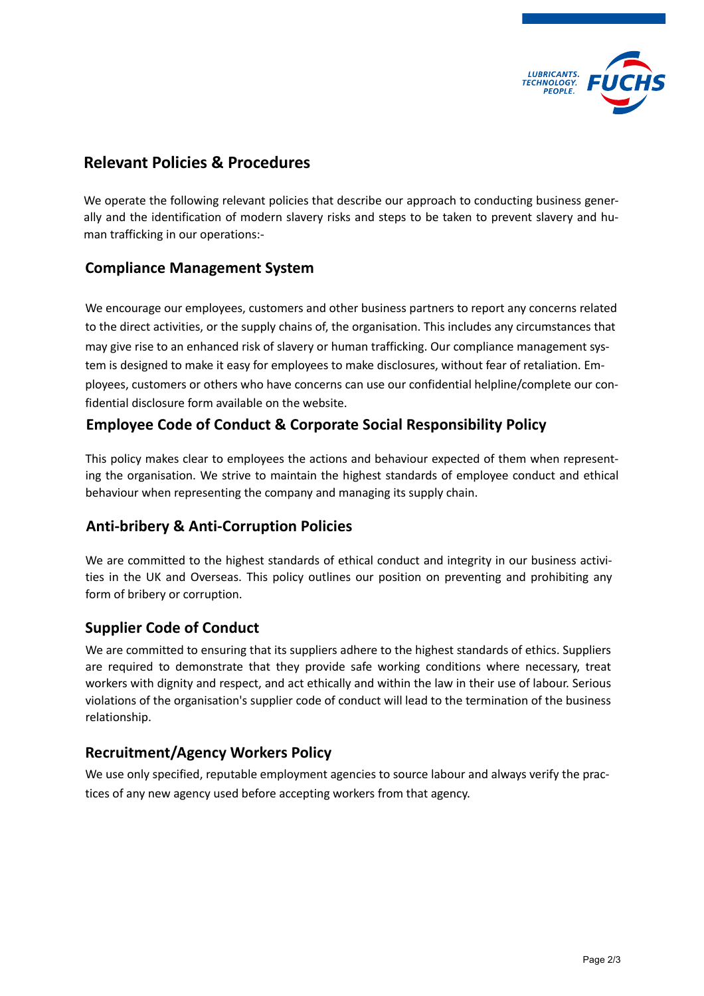

### **Relevant Policies & Procedures**

We operate the following relevant policies that describe our approach to conducting business generally and the identification of modern slavery risks and steps to be taken to prevent slavery and human trafficking in our operations:-

#### **Compliance Management System**

We encourage our employees, customers and other business partners to report any concerns related to the direct activities, or the supply chains of, the organisation. This includes any circumstances that may give rise to an enhanced risk of slavery or human trafficking. Our compliance management system is designed to make it easy for employees to make disclosures, without fear of retaliation. Employees, customers or others who have concerns can use our confidential helpline/complete our confidential disclosure form available on the website.

### **Employee Code of Conduct & Corporate Social Responsibility Policy**

This policy makes clear to employees the actions and behaviour expected of them when representing the organisation. We strive to maintain the highest standards of employee conduct and ethical behaviour when representing the company and managing its supply chain.

#### **Anti-bribery & Anti-Corruption Policies**

We are committed to the highest standards of ethical conduct and integrity in our business activities in the UK and Overseas. This policy outlines our position on preventing and prohibiting any form of bribery or corruption.

#### **Supplier Code of Conduct**

We are committed to ensuring that its suppliers adhere to the highest standards of ethics. Suppliers are required to demonstrate that they provide safe working conditions where necessary, treat workers with dignity and respect, and act ethically and within the law in their use of labour. Serious violations of the organisation's supplier code of conduct will lead to the termination of the business relationship.

#### **Recruitment/Agency Workers Policy**

We use only specified, reputable employment agencies to source labour and always verify the practices of any new agency used before accepting workers from that agency.